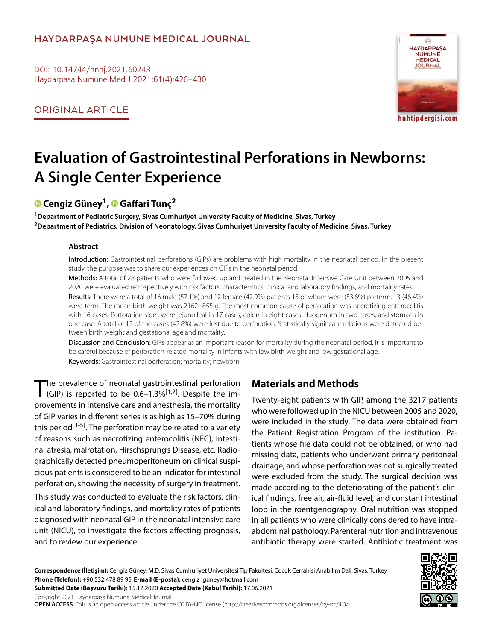# **HAYDARPAŞA NUMUNE MEDICAL JOURNAL**

DOI: 10.14744/hnhj.2021.60243 Haydarpasa Numune Med J 2021;61(4):426–430

ORIGINAL ARTICLE



**hnhtipdergisi.com**

# **Evaluation of Gastrointestinal Perforations in Newborns: A Single Center Experience**

# **Cengiz Güney1,Gaffari Tunç2**

**1Department of Pediatric Surgery, Sivas Cumhuriyet University Faculty of Medicine, Sivas, Turkey 2Department of Pediatrics, Division of Neonatology, Sivas Cumhuriyet University Faculty of Medicine, Sivas, Turkey**

### **Abstract**

Introduction: Gastrointestinal perforations (GIPs) are problems with high mortality in the neonatal period. In the present study, the purpose was to share our experiences on GIPs in the neonatal period.

Methods: A total of 28 patients who were followed up and treated in the Neonatal Intensive Care Unit between 2005 and 2020 were evaluated retrospectively with risk factors, characteristics, clinical and laboratory findings, and mortality rates.

Results: There were a total of 16 male (57.1%) and 12 female (42.9%) patients 15 of whom were (53.6%) preterm, 13 (46.4%) were term. The mean birth weight was 2162±855 g. The most common cause of perforation was necrotizing enterocolitis with 16 cases. Perforation sides were jejunoileal in 17 cases, colon in eight cases, duodenum in two cases, and stomach in one case. A total of 12 of the cases (42.8%) were lost due to perforation. Statistically significant relations were detected between birth weight and gestational age and mortality.

Discussion and Conclusion: GIPs appear as an important reason for mortality during the neonatal period. It is important to be careful because of perforation-related mortality in infants with low birth weight and low gestational age. Keywords: Gastrointestinal perforation; mortality; newborn.

The prevalence of neonatal gastrointestinal perforation (GIP) is reported to be  $0.6-1.3\%$ <sup>[1,2]</sup>. Despite the improvements in intensive care and anesthesia, the mortality of GIP varies in different series is as high as 15–70% during this period<sup>[3-5]</sup>. The perforation may be related to a variety of reasons such as necrotizing enterocolitis (NEC), intestinal atresia, malrotation, Hirschsprung's Disease, etc. Radiographically detected pneumoperitoneum on clinical suspicious patients is considered to be an indicator for intestinal perforation, showing the necessity of surgery in treatment.

This study was conducted to evaluate the risk factors, clinical and laboratory findings, and mortality rates of patients diagnosed with neonatal GIP in the neonatal intensive care unit (NICU), to investigate the factors affecting prognosis, and to review our experience.

# **Materials and Methods**

Twenty-eight patients with GIP, among the 3217 patients who were followed up in the NICU between 2005 and 2020, were included in the study. The data were obtained from the Patient Registration Program of the institution. Patients whose file data could not be obtained, or who had missing data, patients who underwent primary peritoneal drainage, and whose perforation was not surgically treated were excluded from the study. The surgical decision was made according to the deteriorating of the patient's clinical findings, free air, air-fluid level, and constant intestinal loop in the roentgenography. Oral nutrition was stopped in all patients who were clinically considered to have intraabdominal pathology. Parenteral nutrition and intravenous antibiotic therapy were started. Antibiotic treatment was

**Correspondence (İletişim):** Cengiz Güney, M.D. Sivas Cumhuriyet Universitesi Tip Fakultesi, Cocuk Cerrahisi Anabilim Dali, Sivas, Turkey **Phone (Telefon):** +90 532 478 89 95 **E-mail (E-posta):** cengiz\_guney@hotmail.com **Submitted Date (Başvuru Tarihi):** 15.12.2020 **Accepted Date (Kabul Tarihi):** 17.06.2021



Copyright 2021 Haydarpaşa Numune Medical Journal **OPEN ACCESS** This is an open access article under the CC BY-NC license (http://creativecommons.org/licenses/by-nc/4.0/).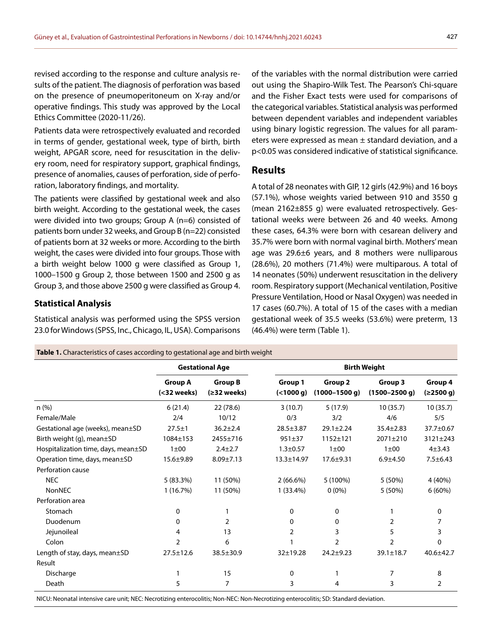revised according to the response and culture analysis results of the patient. The diagnosis of perforation was based on the presence of pneumoperitoneum on X-ray and/or operative findings. This study was approved by the Local Ethics Committee (2020-11/26).

Patients data were retrospectively evaluated and recorded in terms of gender, gestational week, type of birth, birth weight, APGAR score, need for resuscitation in the delivery room, need for respiratory support, graphical findings, presence of anomalies, causes of perforation, side of perforation, laboratory findings, and mortality.

The patients were classified by gestational week and also birth weight. According to the gestational week, the cases were divided into two groups; Group A (n=6) consisted of patients born under 32 weeks, and Group B (n=22) consisted of patients born at 32 weeks or more. According to the birth weight, the cases were divided into four groups. Those with a birth weight below 1000 g were classified as Group 1, 1000–1500 g Group 2, those between 1500 and 2500 g as Group 3, and those above 2500 g were classified as Group 4.

#### **Statistical Analysis**

Statistical analysis was performed using the SPSS version

of the variables with the normal distribution were carried out using the Shapiro-Wilk Test. The Pearson's Chi-square and the Fisher Exact tests were used for comparisons of the categorical variables. Statistical analysis was performed between dependent variables and independent variables using binary logistic regression. The values for all parameters were expressed as mean ± standard deviation, and a p<0.05 was considered indicative of statistical significance.

#### **Results**

A total of 28 neonates with GIP, 12 girls (42.9%) and 16 boys (57.1%), whose weights varied between 910 and 3550 g (mean 2162±855 g) were evaluated retrospectively. Gestational weeks were between 26 and 40 weeks. Among these cases, 64.3% were born with cesarean delivery and 35.7% were born with normal vaginal birth. Mothers' mean age was 29.6±6 years, and 8 mothers were nulliparous (28.6%), 20 mothers (71.4%) were multiparous. A total of 14 neonates (50%) underwent resuscitation in the delivery room. Respiratory support (Mechanical ventilation, Positive Pressure Ventilation, Hood or Nasal Oxygen) was needed in 17 cases (60.7%). A total of 15 of the cases with a median gestational week of 35.5 weeks (53.6%) were preterm, 13 (46.4%) were term (Table 1).

|                                     |                                     | <b>Gestational Age</b>        | <b>Birth Weight</b>    |                                     |                              |                      |
|-------------------------------------|-------------------------------------|-------------------------------|------------------------|-------------------------------------|------------------------------|----------------------|
|                                     | <b>Group A</b><br>$(<$ 32 weeks $)$ | <b>Group B</b><br>(≥32 weeks) | Group 1<br>( < 1000 g) | <b>Group 2</b><br>$(1000 - 1500 g)$ | Group 3<br>$(1500 - 2500 g)$ | Group 4<br>(≥2500 g) |
| n(%)                                | 6(21.4)                             | 22 (78.6)                     | 3(10.7)                | 5(17.9)                             | 10(35.7)                     | 10(35.7)             |
| Female/Male                         | 2/4                                 | 10/12                         | 0/3                    | 3/2                                 | 4/6                          | 5/5                  |
| Gestational age (weeks), mean±SD    | $27.5 \pm 1$                        | $36.2 \pm 2.4$                | $28.5 \pm 3.87$        | $29.1 \pm 2.24$                     | $35.4 \pm 2.83$              | 37.7±0.67            |
| Birth weight (g), mean±SD           | $1084 \pm 153$                      | 2455±716                      | $951 + 37$             | $1152 + 121$                        | $2071 + 210$                 | $3121 \pm 243$       |
| Hospitalization time, days, mean±SD | $1\pm00$                            | $2.4 + 2.7$                   | $1.3 \pm 0.57$         | $1\pm00$                            | $1\pm00$                     | $4 + 3.43$           |
| Operation time, days, mean±SD       | $15.6 + 9.89$                       | $8.09 \pm 7.13$               | $13.3 \pm 14.97$       | $17.6 + 9.31$                       | $6.9 + 4.50$                 | $7.5 \pm 6.43$       |
| Perforation cause                   |                                     |                               |                        |                                     |                              |                      |
| <b>NEC</b>                          | 5(83.3%)                            | 11 (50%)                      | $2(66.6\%)$            | 5 (100%)                            | 5 (50%)                      | 4 (40%)              |
| <b>NonNEC</b>                       | 1(16.7%)                            | 11 (50%)                      | $1(33.4\%)$            | $0(0\%)$                            | 5 (50%)                      | $6(60\%)$            |
| Perforation area                    |                                     |                               |                        |                                     |                              |                      |
| Stomach                             | $\mathbf{0}$                        |                               | $\Omega$               | $\Omega$                            |                              | $\Omega$             |
| Duodenum                            | $\mathbf{0}$                        | 2                             | $\Omega$               | 0                                   | $\overline{2}$               |                      |
| Jejunoileal                         | 4                                   | 13                            | 2                      | 3                                   | 5                            |                      |
| Colon                               | $\mathcal{P}$                       | 6                             |                        | $\overline{2}$                      | $\mathfrak{D}$               | $\Omega$             |
| Length of stay, days, mean±SD       | $27.5 \pm 12.6$                     | $38.5 \pm 30.9$               | 32±19.28               | $24.2 + 9.23$                       | $39.1 \pm 18.7$              | $40.6 + 42.7$        |
| Result                              |                                     |                               |                        |                                     |                              |                      |
| Discharge                           |                                     | 15                            | 0                      |                                     | 7                            | 8                    |
| Death                               | 5                                   | $\overline{7}$                | 3                      | 4                                   | 3                            | 2                    |

NICU: Neonatal intensive care unit; NEC: Necrotizing enterocolitis; Non-NEC: Non-Necrotizing enterocolitis; SD: Standard deviation.

23.0 for Windows (SPSS, Inc., Chicago, IL, USA). Comparisons

**Table 1.** Characteristics of cases according to gestational age and birth weight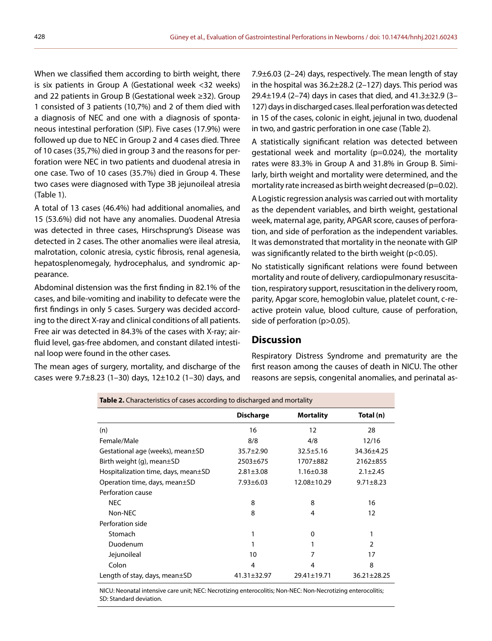When we classified them according to birth weight, there is six patients in Group A (Gestational week <32 weeks) and 22 patients in Group B (Gestational week ≥32). Group 1 consisted of 3 patients (10,7%) and 2 of them died with a diagnosis of NEC and one with a diagnosis of spontaneous intestinal perforation (SIP). Five cases (17.9%) were followed up due to NEC in Group 2 and 4 cases died. Three of 10 cases (35,7%) died in group 3 and the reasons for perforation were NEC in two patients and duodenal atresia in one case. Two of 10 cases (35.7%) died in Group 4. These two cases were diagnosed with Type 3B jejunoileal atresia (Table 1).

A total of 13 cases (46.4%) had additional anomalies, and 15 (53.6%) did not have any anomalies. Duodenal Atresia was detected in three cases, Hirschsprung's Disease was detected in 2 cases. The other anomalies were ileal atresia, malrotation, colonic atresia, cystic fibrosis, renal agenesia, hepatosplenomegaly, hydrocephalus, and syndromic appearance.

Abdominal distension was the first finding in 82.1% of the cases, and bile-vomiting and inability to defecate were the first findings in only 5 cases. Surgery was decided according to the direct X-ray and clinical conditions of all patients. Free air was detected in 84.3% of the cases with X-ray; airfluid level, gas-free abdomen, and constant dilated intestinal loop were found in the other cases.

The mean ages of surgery, mortality, and discharge of the cases were  $9.7\pm8.23$  (1-30) days, 12 $\pm$ 10.2 (1-30) days, and

7.9±6.03 (2–24) days, respectively. The mean length of stay in the hospital was 36.2±28.2 (2–127) days. This period was 29.4±19.4 (2–74) days in cases that died, and 41.3±32.9 (3– 127) days in discharged cases. Ileal perforation was detected in 15 of the cases, colonic in eight, jejunal in two, duodenal in two, and gastric perforation in one case (Table 2).

A statistically significant relation was detected between gestational week and mortality (p=0.024), the mortality rates were 83.3% in Group A and 31.8% in Group B. Similarly, birth weight and mortality were determined, and the mortality rate increased as birth weight decreased (p=0.02).

A Logistic regression analysis was carried out with mortality as the dependent variables, and birth weight, gestational week, maternal age, parity, APGAR score, causes of perforation, and side of perforation as the independent variables. It was demonstrated that mortality in the neonate with GIP was significantly related to the birth weight (p<0.05).

No statistically significant relations were found between mortality and route of delivery, cardiopulmonary resuscitation, respiratory support, resuscitation in the delivery room, parity, Apgar score, hemoglobin value, platelet count, c-reactive protein value, blood culture, cause of perforation, side of perforation (p>0.05).

## **Discussion**

Respiratory Distress Syndrome and prematurity are the first reason among the causes of death in NICU. The other reasons are sepsis, congenital anomalies, and perinatal as-

| <b>Table 2.</b> Characteristics of cases according to discharged and mortality |                   |                   |                   |  |  |  |
|--------------------------------------------------------------------------------|-------------------|-------------------|-------------------|--|--|--|
|                                                                                | <b>Discharge</b>  | <b>Mortality</b>  | Total (n)         |  |  |  |
| (n)                                                                            | 16                | 12                | 28                |  |  |  |
| Female/Male                                                                    | 8/8               | 4/8               | 12/16             |  |  |  |
| Gestational age (weeks), mean±SD                                               | $35.7 \pm 2.90$   | $32.5 \pm 5.16$   | 34.36±4.25        |  |  |  |
| Birth weight (g), mean $\pm$ SD                                                | $2503 + 675$      | 1707±882          | 2162±855          |  |  |  |
| Hospitalization time, days, mean±SD                                            | $2.81 \pm 3.08$   | $1.16 \pm 0.38$   | $2.1 + 2.45$      |  |  |  |
| Operation time, days, mean±SD                                                  | $7.93 \pm 6.03$   | $12.08 \pm 10.29$ | $9.71 \pm 8.23$   |  |  |  |
| Perforation cause                                                              |                   |                   |                   |  |  |  |
| <b>NEC</b>                                                                     | 8                 | 8                 | 16                |  |  |  |
| Non-NEC                                                                        | 8                 | 4                 | 12                |  |  |  |
| Perforation side                                                               |                   |                   |                   |  |  |  |
| Stomach                                                                        |                   | 0                 | 1                 |  |  |  |
| Duodenum                                                                       |                   |                   | $\mathcal{P}$     |  |  |  |
| Jejunoileal                                                                    | 10                | 7                 | 17                |  |  |  |
| Colon                                                                          | 4                 | 4                 | 8                 |  |  |  |
| Length of stay, days, mean $\pm$ SD                                            | $41.31 \pm 32.97$ | $29.41 \pm 19.71$ | $36.21 \pm 28.25$ |  |  |  |

NICU: Neonatal intensive care unit; NEC: Necrotizing enterocolitis; Non-NEC: Non-Necrotizing enterocolitis; SD: Standard deviation.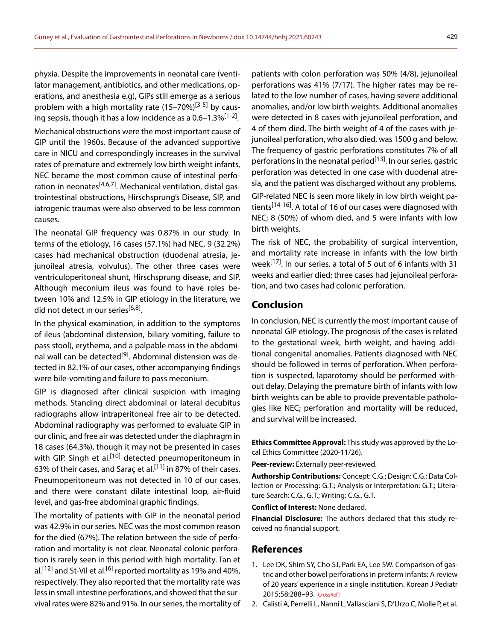phyxia. Despite the improvements in neonatal care (ventilator management, antibiotics, and other medications, operations, and anesthesia e.g), GIPs still emerge as a serious problem with a high mortality rate  $(15-70%)^{[3-5]}$  by causing sepsis, though it has a low incidence as a  $0.6-1.3\%$ <sup>[1-2]</sup>.

Mechanical obstructions were the most important cause of GIP until the 1960s. Because of the advanced supportive care in NICU and correspondingly increases in the survival rates of premature and extremely low birth weight infants, NEC became the most common cause of intestinal perforation in neonates<sup>[4,6,7]</sup>. Mechanical ventilation, distal gastrointestinal obstructions, Hirschsprung's Disease, SIP, and iatrogenic traumas were also observed to be less common causes.

The neonatal GIP frequency was 0.87% in our study. In terms of the etiology, 16 cases (57.1%) had NEC, 9 (32.2%) cases had mechanical obstruction (duodenal atresia, jejunoileal atresia, volvulus). The other three cases were ventriculoperitoneal shunt, Hirschsprung disease, and SIP. Although meconium ileus was found to have roles between 10% and 12.5% in GIP etiology in the literature, we did not detect in our series<sup>[6,8]</sup>.

In the physical examination, in addition to the symptoms of ileus (abdominal distension, biliary vomiting, failure to pass stool), erythema, and a palpable mass in the abdominal wall can be detected<sup>[9]</sup>. Abdominal distension was detected in 82.1% of our cases, other accompanying findings were bile-vomiting and failure to pass meconium.

GIP is diagnosed after clinical suspicion with imaging methods. Standing direct abdominal or lateral decubitus radiographs allow intraperitoneal free air to be detected. Abdominal radiography was performed to evaluate GIP in our clinic, and free air was detected under the diaphragm in 18 cases (64.3%), though it may not be presented in cases with GIP. Singh et al.<sup>[10]</sup> detected pneumoperitoneum in 63% of their cases, and Saraç et al.<sup>[11]</sup> in 87% of their cases. Pneumoperitoneum was not detected in 10 of our cases, and there were constant dilate intestinal loop, air-fluid level, and gas-free abdominal graphic findings.

The mortality of patients with GIP in the neonatal period was 42.9% in our series. NEC was the most common reason for the died (67%). The relation between the side of perforation and mortality is not clear. Neonatal colonic perforation is rarely seen in this period with high mortality. Tan et al.<sup>[12]</sup> and St-Vil et al.<sup>[6]</sup> reported mortality as 19% and 40%, respectively. They also reported that the mortality rate was less in small intestine perforations, and showed that the survival rates were 82% and 91%. In our series, the mortality of

patients with colon perforation was 50% (4/8), jejunoileal perforations was 41% (7/17). The higher rates may be related to the low number of cases, having severe additional anomalies, and/or low birth weights. Additional anomalies were detected in 8 cases with jejunoileal perforation, and 4 of them died. The birth weight of 4 of the cases with jejunoileal perforation, who also died, was 1500 g and below. The frequency of gastric perforations constitutes 7% of all perforations in the neonatal period<sup>[13]</sup>. In our series, gastric perforation was detected in one case with duodenal atresia, and the patient was discharged without any problems.

GIP-related NEC is seen more likely in low birth weight patients<sup>[14-16]</sup>. A total of 16 of our cases were diagnosed with NEC; 8 (50%) of whom died, and 5 were infants with low birth weights.

The risk of NEC, the probability of surgical intervention, and mortality rate increase in infants with the low birth week[17]. In our series, a total of 5 out of 6 infants with 31 weeks and earlier died; three cases had jejunoileal perforation, and two cases had colonic perforation.

# **Conclusion**

In conclusion, NEC is currently the most important cause of neonatal GIP etiology. The prognosis of the cases is related to the gestational week, birth weight, and having additional congenital anomalies. Patients diagnosed with NEC should be followed in terms of perforation. When perforation is suspected, laparotomy should be performed without delay. Delaying the premature birth of infants with low birth weights can be able to provide preventable pathologies like NEC; perforation and mortality will be reduced, and survival will be increased.

**Ethics Committee Approval:** This study was approved by the Local Ethics Committee (2020-11/26).

**Peer-review:** Externally peer-reviewed.

**Authorship Contributions:** Concept: C.G.; Design: C.G.; Data Collection or Processing: G.T.; Analysis or Interpretation: G.T.; Literature Search: C.G., G.T.; Writing: C.G., G.T.

**Conflict of Interest:** None declared.

**Financial Disclosure:** The authors declared that this study received no financial support.

#### **References**

- 1. Lee DK, Shim SY, Cho SJ, Park EA, Lee SW. Comparison of gastric and other bowel perforations in preterm infants: A review of 20 years' experience in a single institution. Korean J Pediatr 2015;58:288–93. [CrossRef]
- 2. Calisti A, Perrelli L, Nanni L, Vallasciani S, D'Urzo C, Molle P, et al.